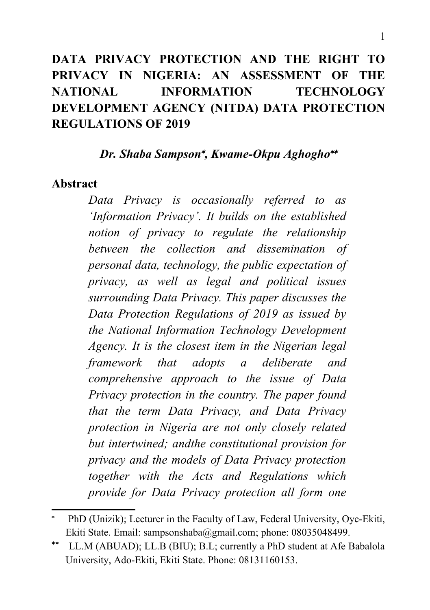# **DATA PRIVACY PROTECTION AND THE RIGHT TO PRIVACY IN NIGERIA: AN ASSESSMENT OF THE NATIONAL INFORMATION TECHNOLOGY DEVELOPMENT AGENCY (NITDA) DATA PROTECTION REGULATIONS OF 2019**

*Dr. Shaba Sampson , Kwame-Okpu Aghogho*

#### **Abstract**

*Data Privacy is occasionally referred to as 'Information Privacy'. It builds on the established notion of privacy to regulate the relationship between the collection and dissemination of personal data, technology, the public expectation of privacy, as well as legal and political issues surrounding Data Privacy. This paper discusses the Data Protection Regulations of 2019 as issued by the National Information Technology Development Agency. It is the closest item in the Nigerian legal framework that adopts a deliberate and comprehensive approach to the issue of Data Privacy protection in the country. The paper found that the term Data Privacy, and Data Privacy protection in Nigeria are not only closely related but intertwined; andthe constitutional provision for privacy and the models of Data Privacy protection together with the Acts and Regulations which provide for Data Privacy protection all form one*

<span id="page-0-0"></span><sup>\*</sup>  PhD (Unizik); Lecturer in the Faculty of Law, Federal University, Oye-Ekiti, Ekiti State. Email: [sampsonshaba@gmail.com;](mailto:sampsonshaba@gmail.com) phone: 08035048499.

<span id="page-0-1"></span>LL.M (ABUAD); LL.B (BIU); B.L; currently a PhD student at Afe Babalola University, Ado-Ekiti, Ekiti State. Phone: 08131160153.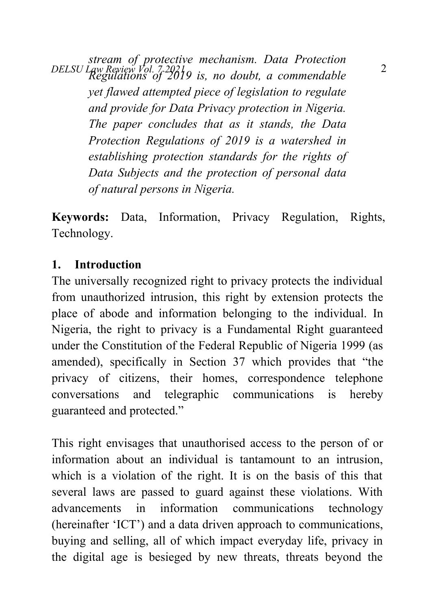*DELSU Law Review Vol. 7 2021* 2 *stream of protective mechanism. Data Protection Regulations of 2019 is, no doubt, a commendable yet flawed attempted piece of legislation to regulate and provide for Data Privacy protection in Nigeria. The paper concludes that as it stands, the Data Protection Regulations of 2019 is a watershed in establishing protection standards for the rights of Data Subjects and the protection of personal data of natural persons in Nigeria.* 

**Keywords:** Data, Information, Privacy Regulation, Rights, Technology.

#### **1. Introduction**

The universally recognized right to privacy protects the individual from unauthorized intrusion, this right by extension protects the place of abode and information belonging to the individual. In Nigeria, the right to privacy is a Fundamental Right guaranteed under the Constitution of the Federal Republic of Nigeria 1999 (as amended), specifically in Section 37 which provides that "the privacy of citizens, their homes, correspondence telephone conversations and telegraphic communications is hereby guaranteed and protected."

This right envisages that unauthorised access to the person of or information about an individual is tantamount to an intrusion, which is a violation of the right. It is on the basis of this that several laws are passed to guard against these violations. With advancements in information communications technology (hereinafter 'ICT') and a data driven approach to communications, buying and selling, all of which impact everyday life, privacy in the digital age is besieged by new threats, threats beyond the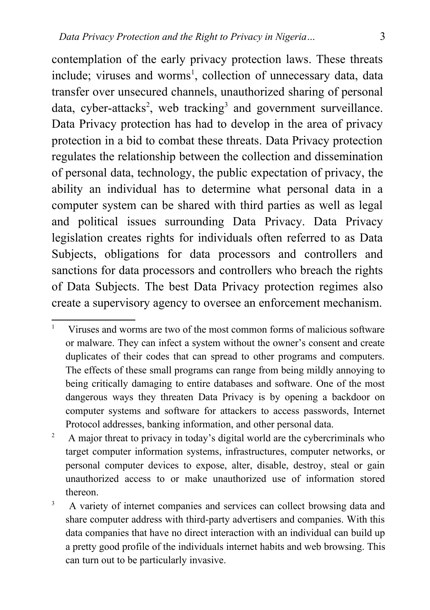contemplation of the early privacy protection laws. These threats include; viruses and worms<sup>[1](#page-2-0)</sup>, collection of unnecessary data, data transfer over unsecured channels, unauthorized sharing of personal data, cyber-attacks<sup>[2](#page-2-1)</sup>, web tracking<sup>[3](#page-2-2)</sup> and government surveillance. Data Privacy protection has had to develop in the area of privacy protection in a bid to combat these threats. Data Privacy protection regulates the relationship between the collection and dissemination of personal data, technology, the public expectation of privacy, the ability an individual has to determine what personal data in a computer system can be shared with third parties as well as legal and political issues surrounding Data Privacy. Data Privacy legislation creates rights for individuals often referred to as Data Subjects, obligations for data processors and controllers and sanctions for data processors and controllers who breach the rights of Data Subjects. The best Data Privacy protection regimes also create a supervisory agency to oversee an enforcement mechanism.

<span id="page-2-0"></span><sup>1</sup> Viruses and worms are two of the most common forms of malicious software or malware. They can infect a system without the owner's consent and create duplicates of their codes that can spread to other programs and computers. The effects of these small programs can range from being mildly annoying to being critically damaging to entire databases and software. One of the most dangerous ways they threaten Data Privacy is by opening a backdoor on computer systems and software for attackers to access passwords, Internet Protocol addresses, banking information, and other personal data.

<span id="page-2-1"></span><sup>&</sup>lt;sup>2</sup> A major threat to privacy in today's digital world are the cybercriminals who target computer information systems, infrastructures, computer networks, or personal computer devices to expose, alter, disable, destroy, steal or gain unauthorized access to or make unauthorized use of information stored thereon.

<span id="page-2-2"></span><sup>3</sup> A variety of internet companies and services can collect browsing data and share computer address with third-party advertisers and companies. With this data companies that have no direct interaction with an individual can build up a pretty good profile of the individuals internet habits and web browsing. This can turn out to be particularly invasive.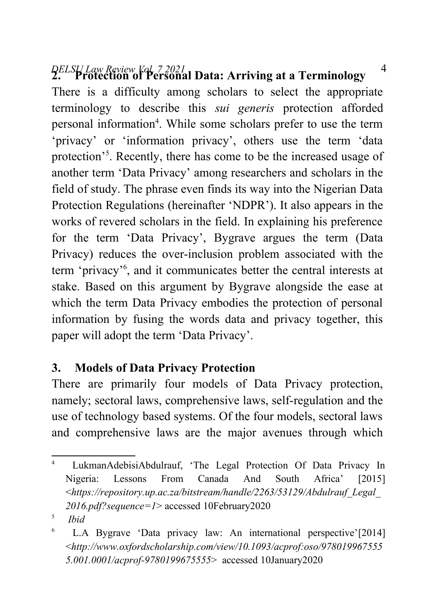# *DELSU Law Review Vol. 7 2021* 4 **2. Protection of Personal Data: Arriving at a Terminology**

There is a difficulty among scholars to select the appropriate terminology to describe this *sui generis* protection afforded personal information<sup>[4](#page-3-0)</sup>. While some scholars prefer to use the term 'privacy' or 'information privacy', others use the term 'data protection<sup>3[5](#page-3-1)</sup>. Recently, there has come to be the increased usage of another term 'Data Privacy' among researchers and scholars in the field of study. The phrase even finds its way into the Nigerian Data Protection Regulations (hereinafter 'NDPR'). It also appears in the works of revered scholars in the field. In explaining his preference for the term 'Data Privacy', Bygrave argues the term (Data Privacy) reduces the over-inclusion problem associated with the term 'privacy'[6](#page-3-2) , and it communicates better the central interests at stake. Based on this argument by Bygrave alongside the ease at which the term Data Privacy embodies the protection of personal information by fusing the words data and privacy together, this paper will adopt the term 'Data Privacy'.

#### **3. Models of Data Privacy Protection**

There are primarily four models of Data Privacy protection, namely; sectoral laws, comprehensive laws, self-regulation and the use of technology based systems. Of the four models, sectoral laws and comprehensive laws are the major avenues through which

<span id="page-3-0"></span><sup>4</sup> LukmanAdebisiAbdulrauf, 'The Legal Protection Of Data Privacy In Nigeria: Lessons From Canada And South Africa' [2015] <*https://repository.up.ac.za/bitstream/handle/2263/53129/Abdulrauf\_Legal\_ 2016.pdf?sequence=1*> accessed 10February2020

<span id="page-3-1"></span><sup>5</sup>  *Ibid*

<span id="page-3-2"></span><sup>6</sup> L.A Bygrave 'Data privacy law: An international perspective'[2014] <*http://www.oxfordscholarship.com/view/10.1093/acprof:oso/978019967555 5.001.0001/acprof-9780199675555*> accessed 10January2020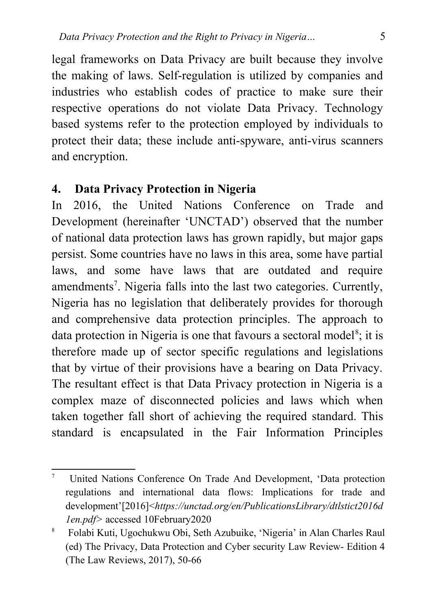legal frameworks on Data Privacy are built because they involve the making of laws. Self-regulation is utilized by companies and industries who establish codes of practice to make sure their respective operations do not violate Data Privacy. Technology based systems refer to the protection employed by individuals to protect their data; these include anti-spyware, anti-virus scanners and encryption.

#### **4. Data Privacy Protection in Nigeria**

In 2016, the United Nations Conference on Trade and Development (hereinafter 'UNCTAD') observed that the number of national data protection laws has grown rapidly, but major gaps persist. Some countries have no laws in this area, some have partial laws, and some have laws that are outdated and require amendments<sup>[7](#page-4-0)</sup>. Nigeria falls into the last two categories. Currently, Nigeria has no legislation that deliberately provides for thorough and comprehensive data protection principles. The approach to data protection in Nigeria is one that favours a sectoral model<sup>[8](#page-4-1)</sup>; it is therefore made up of sector specific regulations and legislations that by virtue of their provisions have a bearing on Data Privacy. The resultant effect is that Data Privacy protection in Nigeria is a complex maze of disconnected policies and laws which when taken together fall short of achieving the required standard. This standard is encapsulated in the Fair Information Principles

<span id="page-4-0"></span><sup>7</sup> United Nations Conference On Trade And Development, 'Data protection regulations and international data flows: Implications for trade and development'[2016]<*https://unctad.org/en/PublicationsLibrary/dtlstict2016d 1en.pdf>* accessed 10February2020

<span id="page-4-1"></span><sup>8</sup> Folabi Kuti, Ugochukwu Obi, Seth Azubuike, 'Nigeria' in Alan Charles Raul (ed) The Privacy, Data Protection and Cyber security Law Review- Edition 4 (The Law Reviews, 2017), 50-66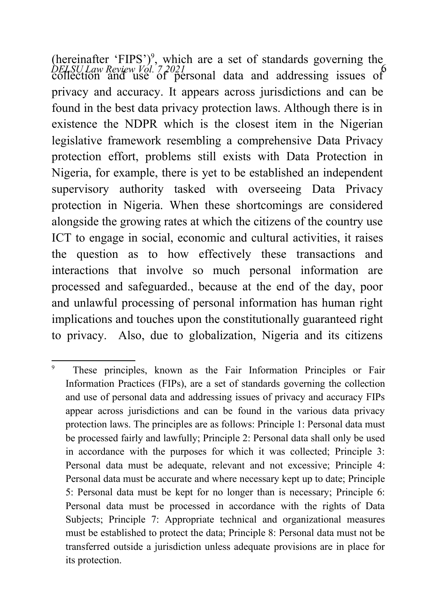*DELSU Law Review Vol. 7 2021* 6 collection and use of personal data and addressing issues of (hereinafter 'FIPS')<sup>[9](#page-5-0)</sup>, which are a set of standards governing the privacy and accuracy. It appears across jurisdictions and can be found in the best data privacy protection laws. Although there is in existence the NDPR which is the closest item in the Nigerian legislative framework resembling a comprehensive Data Privacy protection effort, problems still exists with Data Protection in Nigeria, for example, there is yet to be established an independent supervisory authority tasked with overseeing Data Privacy protection in Nigeria. When these shortcomings are considered alongside the growing rates at which the citizens of the country use ICT to engage in social, economic and cultural activities, it raises the question as to how effectively these transactions and interactions that involve so much personal information are processed and safeguarded., because at the end of the day, poor and unlawful processing of personal information has human right implications and touches upon the constitutionally guaranteed right to privacy. Also, due to globalization, Nigeria and its citizens

<span id="page-5-0"></span><sup>9</sup> These principles, known as the Fair Information Principles or Fair Information Practices (FIPs), are a set of standards governing the collection and use of personal data and addressing issues of privacy and accuracy FIPs appear across jurisdictions and can be found in the various data privacy protection laws. The principles are as follows: Principle 1: Personal data must be processed fairly and lawfully; Principle 2: Personal data shall only be used in accordance with the purposes for which it was collected; Principle 3: Personal data must be adequate, relevant and not excessive; Principle 4: Personal data must be accurate and where necessary kept up to date; Principle 5: Personal data must be kept for no longer than is necessary; Principle 6: Personal data must be processed in accordance with the rights of Data Subjects; Principle 7: Appropriate technical and organizational measures must be established to protect the data; Principle 8: Personal data must not be transferred outside a jurisdiction unless adequate provisions are in place for its protection.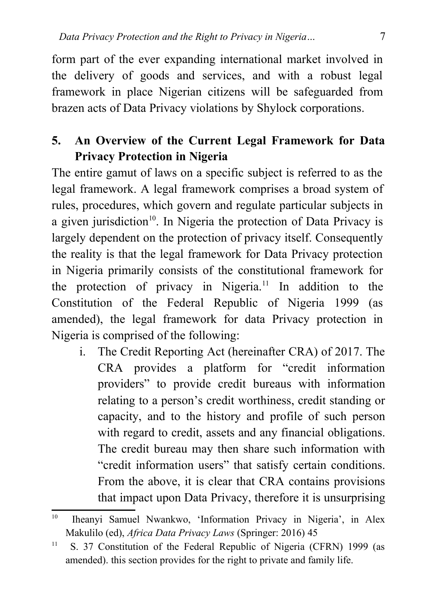form part of the ever expanding international market involved in the delivery of goods and services, and with a robust legal framework in place Nigerian citizens will be safeguarded from brazen acts of Data Privacy violations by Shylock corporations.

## **5. An Overview of the Current Legal Framework for Data Privacy Protection in Nigeria**

The entire gamut of laws on a specific subject is referred to as the legal framework. A legal framework comprises a broad system of rules, procedures, which govern and regulate particular subjects in a given jurisdiction<sup>[10](#page-6-0)</sup>. In Nigeria the protection of Data Privacy is largely dependent on the protection of privacy itself. Consequently the reality is that the legal framework for Data Privacy protection in Nigeria primarily consists of the constitutional framework for the protection of privacy in Nigeria.[11](#page-6-1) In addition to the Constitution of the Federal Republic of Nigeria 1999 (as amended), the legal framework for data Privacy protection in Nigeria is comprised of the following:

i. The Credit Reporting Act (hereinafter CRA) of 2017. The CRA provides a platform for "credit information providers" to provide credit bureaus with information relating to a person's credit worthiness, credit standing or capacity, and to the history and profile of such person with regard to credit, assets and any financial obligations. The credit bureau may then share such information with "credit information users" that satisfy certain conditions. From the above, it is clear that CRA contains provisions that impact upon Data Privacy, therefore it is unsurprising

<span id="page-6-0"></span><sup>&</sup>lt;sup>10</sup> Iheanyi Samuel Nwankwo, 'Information Privacy in Nigeria', in Alex Makulilo (ed), *Africa Data Privacy Laws* (Springer: 2016) 45

<span id="page-6-1"></span><sup>&</sup>lt;sup>11</sup> S. 37 Constitution of the Federal Republic of Nigeria (CFRN) 1999 (as amended). this section provides for the right to private and family life.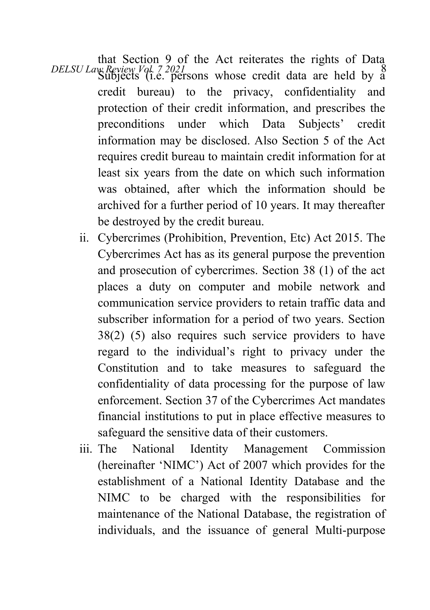*DELSU Law Review Vol. 7 2021* 8 (i.e. persons whose credit data are held by a that Section 9 of the Act reiterates the rights of Data credit bureau) to the privacy, confidentiality and protection of their credit information, and prescribes the preconditions under which Data Subjects' credit information may be disclosed. Also Section 5 of the Act requires credit bureau to maintain credit information for at least six years from the date on which such information was obtained, after which the information should be archived for a further period of 10 years. It may thereafter be destroyed by the credit bureau.

- ii. Cybercrimes (Prohibition, Prevention, Etc) Act 2015. The Cybercrimes Act has as its general purpose the prevention and prosecution of cybercrimes. Section 38 (1) of the act places a duty on computer and mobile network and communication service providers to retain traffic data and subscriber information for a period of two years. Section 38(2) (5) also requires such service providers to have regard to the individual's right to privacy under the Constitution and to take measures to safeguard the confidentiality of data processing for the purpose of law enforcement. Section 37 of the Cybercrimes Act mandates financial institutions to put in place effective measures to safeguard the sensitive data of their customers.
- iii. The National Identity Management Commission (hereinafter 'NIMC') Act of 2007 which provides for the establishment of a National Identity Database and the NIMC to be charged with the responsibilities for maintenance of the National Database, the registration of individuals, and the issuance of general Multi-purpose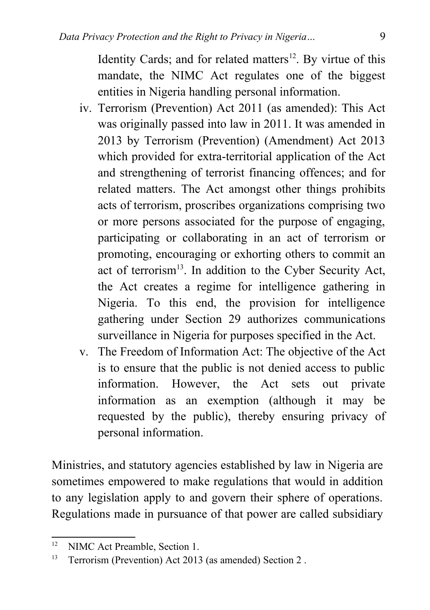Identity Cards; and for related matters $12$ . By virtue of this mandate, the NIMC Act regulates one of the biggest entities in Nigeria handling personal information.

- iv. Terrorism (Prevention) Act 2011 (as amended): This Act was originally passed into law in 2011. It was amended in 2013 by Terrorism (Prevention) (Amendment) Act 2013 which provided for extra-territorial application of the Act and strengthening of terrorist financing offences; and for related matters. The Act amongst other things prohibits acts of terrorism, proscribes organizations comprising two or more persons associated for the purpose of engaging, participating or collaborating in an act of terrorism or promoting, encouraging or exhorting others to commit an act of terrorism $^{13}$  $^{13}$  $^{13}$ . In addition to the Cyber Security Act, the Act creates a regime for intelligence gathering in Nigeria. To this end, the provision for intelligence gathering under Section 29 authorizes communications surveillance in Nigeria for purposes specified in the Act.
- v. The Freedom of Information Act: The objective of the Act is to ensure that the public is not denied access to public information. However, the Act sets out private information as an exemption (although it may be requested by the public), thereby ensuring privacy of personal information.

Ministries, and statutory agencies established by law in Nigeria are sometimes empowered to make regulations that would in addition to any legislation apply to and govern their sphere of operations. Regulations made in pursuance of that power are called subsidiary

<span id="page-8-0"></span><sup>&</sup>lt;sup>12</sup> NIMC Act Preamble, Section 1.

<span id="page-8-1"></span><sup>&</sup>lt;sup>13</sup> Terrorism (Prevention) Act 2013 (as amended) Section 2.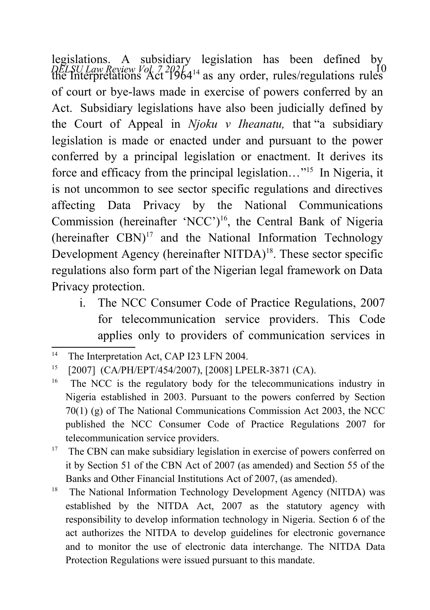*DELSU Law Review Vol. 7 2021* 10 the Interpretations Act 1964[14](#page-9-0) as any order, rules/regulations rules legislations. A subsidiary legislation has been defined by of court or bye-laws made in exercise of powers conferred by an Act. Subsidiary legislations have also been judicially defined by the Court of Appeal in *Njoku v Iheanatu,* that "a subsidiary legislation is made or enacted under and pursuant to the power conferred by a principal legislation or enactment. It derives its force and efficacy from the principal legislation..."<sup>[15](#page-9-1)</sup> In Nigeria, it is not uncommon to see sector specific regulations and directives affecting Data Privacy by the National Communications Commission (hereinafter 'NCC')<sup>[16](#page-9-2)</sup>, the Central Bank of Nigeria (hereinafter  $CBN$ )<sup>[17](#page-9-3)</sup> and the National Information Technology Development Agency (hereinafter NITDA)<sup>[18](#page-9-4)</sup>. These sector specific regulations also form part of the Nigerian legal framework on Data Privacy protection.

i. The NCC Consumer Code of Practice Regulations, 2007 for telecommunication service providers. This Code applies only to providers of communication services in

<span id="page-9-0"></span><sup>&</sup>lt;sup>14</sup> The Interpretation Act, CAP I23 LFN 2004.

<span id="page-9-1"></span><sup>15</sup> [2007] (CA/PH/EPT/454/2007), [2008] LPELR-3871 (CA).

<span id="page-9-2"></span><sup>&</sup>lt;sup>16</sup> The NCC is the regulatory body for the telecommunications industry in Nigeria established in 2003. Pursuant to the powers conferred by Section 70(1) (g) of The National Communications Commission Act 2003, the NCC published the NCC Consumer Code of Practice Regulations 2007 for telecommunication service providers.

<span id="page-9-3"></span><sup>&</sup>lt;sup>17</sup> The CBN can make subsidiary legislation in exercise of powers conferred on it by Section 51 of the CBN Act of 2007 (as amended) and Section 55 of the Banks and Other Financial Institutions Act of 2007, (as amended).

<span id="page-9-4"></span><sup>&</sup>lt;sup>18</sup> The National Information Technology Development Agency (NITDA) was established by the NITDA Act, 2007 as the statutory agency with responsibility to develop information technology in Nigeria. Section 6 of the act authorizes the NITDA to develop guidelines for electronic governance and to monitor the use of electronic data interchange. The NITDA Data Protection Regulations were issued pursuant to this mandate.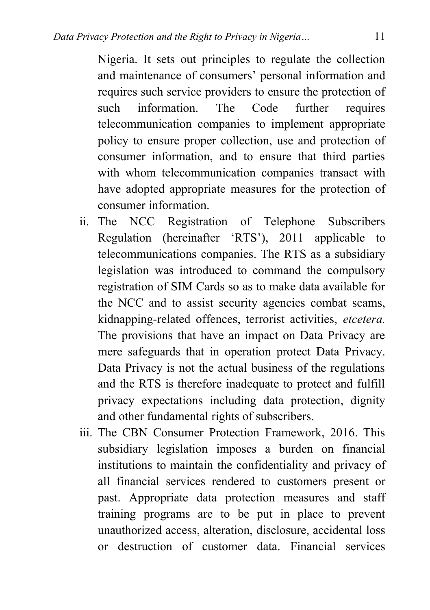Nigeria. It sets out principles to regulate the collection and maintenance of consumers' personal information and requires such service providers to ensure the protection of such information. The Code further requires telecommunication companies to implement appropriate policy to ensure proper collection, use and protection of consumer information, and to ensure that third parties with whom telecommunication companies transact with have adopted appropriate measures for the protection of consumer information.

- ii. The NCC Registration of Telephone Subscribers Regulation (hereinafter 'RTS'), 2011 applicable to telecommunications companies. The RTS as a subsidiary legislation was introduced to command the compulsory registration of SIM Cards so as to make data available for the NCC and to assist security agencies combat scams, kidnapping-related offences, terrorist activities, *etcetera.* The provisions that have an impact on Data Privacy are mere safeguards that in operation protect Data Privacy. Data Privacy is not the actual business of the regulations and the RTS is therefore inadequate to protect and fulfill privacy expectations including data protection, dignity and other fundamental rights of subscribers.
- iii. The CBN Consumer Protection Framework, 2016. This subsidiary legislation imposes a burden on financial institutions to maintain the confidentiality and privacy of all financial services rendered to customers present or past. Appropriate data protection measures and staff training programs are to be put in place to prevent unauthorized access, alteration, disclosure, accidental loss or destruction of customer data. Financial services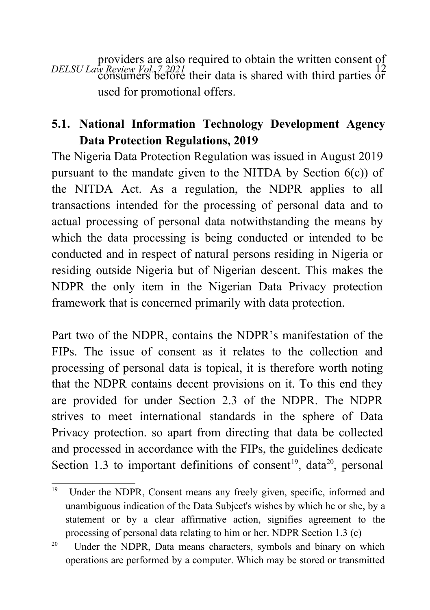*DELSU Law Review Vol. 7 2021* 12 consumers before their data is shared with third parties or providers are also required to obtain the written consent of used for promotional offers.

# **5.1. National Information Technology Development Agency Data Protection Regulations, 2019**

The Nigeria Data Protection Regulation was issued in August 2019 pursuant to the mandate given to the NITDA by Section  $6(c)$  of the NITDA Act. As a regulation, the NDPR applies to all transactions intended for the processing of personal data and to actual processing of personal data notwithstanding the means by which the data processing is being conducted or intended to be conducted and in respect of natural persons residing in Nigeria or residing outside Nigeria but of Nigerian descent. This makes the NDPR the only item in the Nigerian Data Privacy protection framework that is concerned primarily with data protection.

Part two of the NDPR, contains the NDPR's manifestation of the FIPs. The issue of consent as it relates to the collection and processing of personal data is topical, it is therefore worth noting that the NDPR contains decent provisions on it. To this end they are provided for under Section 2.3 of the NDPR. The NDPR strives to meet international standards in the sphere of Data Privacy protection. so apart from directing that data be collected and processed in accordance with the FIPs, the guidelines dedicate Section 1.3 to important definitions of consent<sup>[19](#page-11-0)</sup>, data<sup>[20](#page-11-1)</sup>, personal

<span id="page-11-0"></span><sup>&</sup>lt;sup>19</sup> Under the NDPR, Consent means any freely given, specific, informed and unambiguous indication of the Data Subject's wishes by which he or she, by a statement or by a clear affirmative action, signifies agreement to the processing of personal data relating to him or her. NDPR Section 1.3 (c)

<span id="page-11-1"></span><sup>&</sup>lt;sup>20</sup> Under the NDPR, Data means characters, symbols and binary on which operations are performed by a computer. Which may be stored or transmitted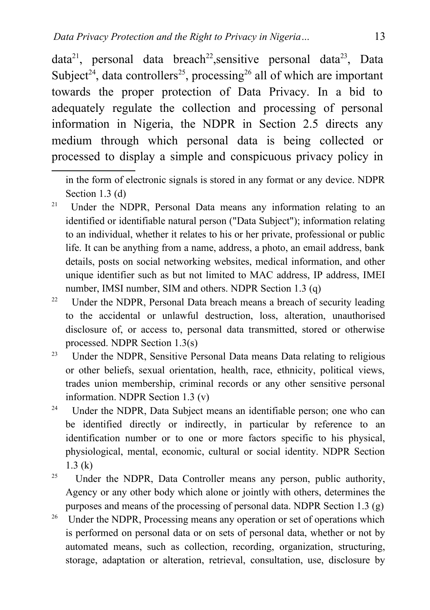$data^{21}$  $data^{21}$  $data^{21}$ , personal data breach<sup>[22](#page-12-1)</sup>, sensitive personal data<sup>[23](#page-12-2)</sup>, Data Subject<sup>[24](#page-12-3)</sup>, data controllers<sup>[25](#page-12-4)</sup>, processing<sup>[26](#page-12-5)</sup> all of which are important towards the proper protection of Data Privacy. In a bid to adequately regulate the collection and processing of personal information in Nigeria, the NDPR in Section 2.5 directs any medium through which personal data is being collected or processed to display a simple and conspicuous privacy policy in

<span id="page-12-0"></span><sup>21</sup> Under the NDPR, Personal Data means any information relating to an identified or identifiable natural person ("Data Subject"); information relating to an individual, whether it relates to his or her private, professional or public life. It can be anything from a name, address, a photo, an email address, bank details, posts on social networking websites, medical information, and other unique identifier such as but not limited to MAC address, IP address, IMEI number, IMSI number, SIM and others. NDPR Section 1.3 (q)

<span id="page-12-1"></span><sup>22</sup> Under the NDPR, Personal Data breach means a breach of security leading to the accidental or unlawful destruction, loss, alteration, unauthorised disclosure of, or access to, personal data transmitted, stored or otherwise processed. NDPR Section 1.3(s)

<span id="page-12-2"></span><sup>23</sup> Under the NDPR, Sensitive Personal Data means Data relating to religious or other beliefs, sexual orientation, health, race, ethnicity, political views, trades union membership, criminal records or any other sensitive personal information. NDPR Section 1.3 (v)

<span id="page-12-3"></span><sup>24</sup> Under the NDPR, Data Subject means an identifiable person; one who can be identified directly or indirectly, in particular by reference to an identification number or to one or more factors specific to his physical, physiological, mental, economic, cultural or social identity. NDPR Section 1.3 (k)

<span id="page-12-4"></span><sup>25</sup> Under the NDPR, Data Controller means any person, public authority, Agency or any other body which alone or jointly with others, determines the purposes and means of the processing of personal data. NDPR Section 1.3 (g)

<span id="page-12-5"></span><sup>26</sup> Under the NDPR, Processing means any operation or set of operations which is performed on personal data or on sets of personal data, whether or not by automated means, such as collection, recording, organization, structuring, storage, adaptation or alteration, retrieval, consultation, use, disclosure by

in the form of electronic signals is stored in any format or any device. NDPR Section 1.3 (d)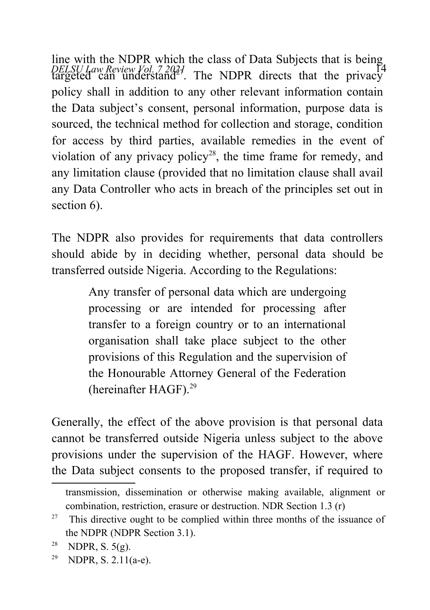*DELSU Law Review Vol. 7 2024*<br>targeted can understand<sup>27</sup>. The NDPR directs that the privacy line with the NDPR which the class of Data Subjects that is being  $\frac{14}{14}$ policy shall in addition to any other relevant information contain the Data subject's consent, personal information, purpose data is sourced, the technical method for collection and storage, condition for access by third parties, available remedies in the event of violation of any privacy policy<sup>[28](#page-13-1)</sup>, the time frame for remedy, and any limitation clause (provided that no limitation clause shall avail any Data Controller who acts in breach of the principles set out in section 6).

The NDPR also provides for requirements that data controllers should abide by in deciding whether, personal data should be transferred outside Nigeria. According to the Regulations:

> Any transfer of personal data which are undergoing processing or are intended for processing after transfer to a foreign country or to an international organisation shall take place subject to the other provisions of this Regulation and the supervision of the Honourable Attorney General of the Federation (hereinafter HAGF).[29](#page-13-2)

Generally, the effect of the above provision is that personal data cannot be transferred outside Nigeria unless subject to the above provisions under the supervision of the HAGF. However, where the Data subject consents to the proposed transfer, if required to

transmission, dissemination or otherwise making available, alignment or combination, restriction, erasure or destruction. NDR Section 1.3 (r)

<span id="page-13-0"></span> $27$  This directive ought to be complied within three months of the issuance of the NDPR (NDPR Section 3.1).

<span id="page-13-1"></span><sup>&</sup>lt;sup>28</sup> NDPR, S.  $5(g)$ .

<span id="page-13-2"></span><sup>&</sup>lt;sup>29</sup> NDPR, S. 2.11(a-e).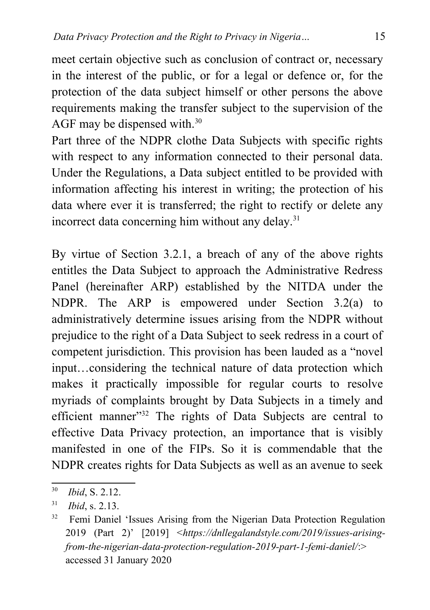meet certain objective such as conclusion of contract or, necessary in the interest of the public, or for a legal or defence or, for the protection of the data subject himself or other persons the above requirements making the transfer subject to the supervision of the AGF may be dispensed with.<sup>[30](#page-14-0)</sup>

Part three of the NDPR clothe Data Subjects with specific rights with respect to any information connected to their personal data. Under the Regulations, a Data subject entitled to be provided with information affecting his interest in writing; the protection of his data where ever it is transferred; the right to rectify or delete any incorrect data concerning him without any delay. $31$ 

By virtue of Section 3.2.1, a breach of any of the above rights entitles the Data Subject to approach the Administrative Redress Panel (hereinafter ARP) established by the NITDA under the NDPR. The ARP is empowered under Section 3.2(a) to administratively determine issues arising from the NDPR without prejudice to the right of a Data Subject to seek redress in a court of competent jurisdiction. This provision has been lauded as a "novel input…considering the technical nature of data protection which makes it practically impossible for regular courts to resolve myriads of complaints brought by Data Subjects in a timely and efficient manner"<sup>[32](#page-14-2)</sup> The rights of Data Subjects are central to effective Data Privacy protection, an importance that is visibly manifested in one of the FIPs. So it is commendable that the NDPR creates rights for Data Subjects as well as an avenue to seek

<span id="page-14-0"></span><sup>30</sup> *Ibid*, S. 2.12.

<span id="page-14-1"></span><sup>31</sup> *Ibid*, s. 2.13.

<span id="page-14-2"></span><sup>&</sup>lt;sup>32</sup> Femi Daniel 'Issues Arising from the Nigerian Data Protection Regulation 2019 (Part 2)' [2019] <*https://dnllegalandstyle.com/2019/issues-arisingfrom-the-nigerian-data-protection-regulation-2019-part-1-femi-daniel/*:> accessed 31 January 2020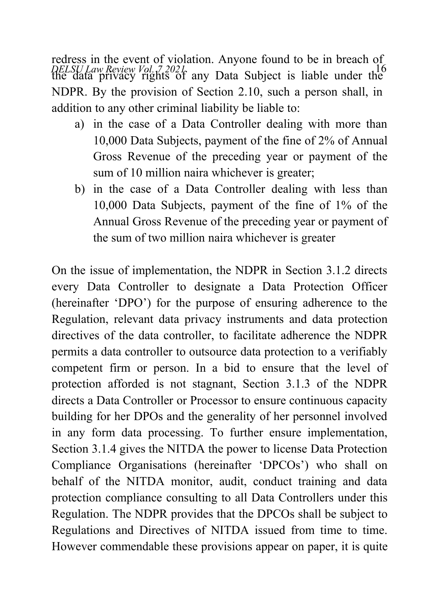*DELSU Law Review Vol. 7 2021*<br>the data privacy rights of any Data Subject is liable under the redress in the event of violation. Anyone found to be in breach of NDPR. By the provision of Section 2.10, such a person shall, in addition to any other criminal liability be liable to:

- a) in the case of a Data Controller dealing with more than 10,000 Data Subjects, payment of the fine of 2% of Annual Gross Revenue of the preceding year or payment of the sum of 10 million naira whichever is greater;
- b) in the case of a Data Controller dealing with less than 10,000 Data Subjects, payment of the fine of 1% of the Annual Gross Revenue of the preceding year or payment of the sum of two million naira whichever is greater

On the issue of implementation, the NDPR in Section 3.1.2 directs every Data Controller to designate a Data Protection Officer (hereinafter 'DPO') for the purpose of ensuring adherence to the Regulation, relevant data privacy instruments and data protection directives of the data controller, to facilitate adherence the NDPR permits a data controller to outsource data protection to a verifiably competent firm or person. In a bid to ensure that the level of protection afforded is not stagnant, Section 3.1.3 of the NDPR directs a Data Controller or Processor to ensure continuous capacity building for her DPOs and the generality of her personnel involved in any form data processing. To further ensure implementation, Section 3.1.4 gives the NITDA the power to license Data Protection Compliance Organisations (hereinafter 'DPCOs') who shall on behalf of the NITDA monitor, audit, conduct training and data protection compliance consulting to all Data Controllers under this Regulation. The NDPR provides that the DPCOs shall be subject to Regulations and Directives of NITDA issued from time to time. However commendable these provisions appear on paper, it is quite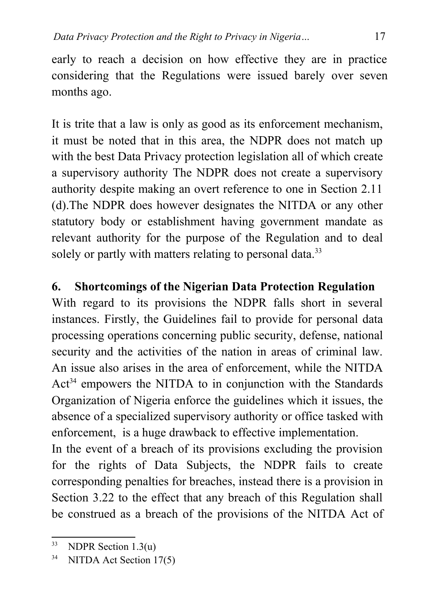early to reach a decision on how effective they are in practice considering that the Regulations were issued barely over seven months ago.

It is trite that a law is only as good as its enforcement mechanism, it must be noted that in this area, the NDPR does not match up with the best Data Privacy protection legislation all of which create a supervisory authority The NDPR does not create a supervisory authority despite making an overt reference to one in Section 2.11 (d).The NDPR does however designates the NITDA or any other statutory body or establishment having government mandate as relevant authority for the purpose of the Regulation and to deal solely or partly with matters relating to personal data.<sup>[33](#page-16-0)</sup>

# **6. Shortcomings of the Nigerian Data Protection Regulation**

With regard to its provisions the NDPR falls short in several instances. Firstly, the Guidelines fail to provide for personal data processing operations concerning public security, defense, national security and the activities of the nation in areas of criminal law. An issue also arises in the area of enforcement, while the NITDA  $Act<sup>34</sup>$  $Act<sup>34</sup>$  $Act<sup>34</sup>$  empowers the NITDA to in conjunction with the Standards Organization of Nigeria enforce the guidelines which it issues, the absence of a specialized supervisory authority or office tasked with enforcement, is a huge drawback to effective implementation.

In the event of a breach of its provisions excluding the provision for the rights of Data Subjects, the NDPR fails to create corresponding penalties for breaches, instead there is a provision in Section 3.22 to the effect that any breach of this Regulation shall be construed as a breach of the provisions of the NITDA Act of

<span id="page-16-0"></span> $33$  NDPR Section 1.3(u)

<span id="page-16-1"></span><sup>&</sup>lt;sup>34</sup> NITDA Act Section 17(5)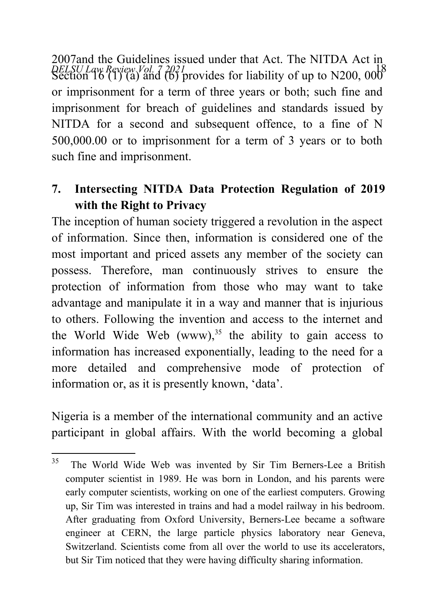DELSU Law Review Vol. 7 2021<br>Section 16 (1) (a) and (b) provides for liability of up to N200, 000<sup>8</sup> 2007and the Guidelines issued under that Act. The NITDA Act in or imprisonment for a term of three years or both; such fine and imprisonment for breach of guidelines and standards issued by NITDA for a second and subsequent offence, to a fine of N 500,000.00 or to imprisonment for a term of 3 years or to both such fine and imprisonment.

# **7. Intersecting NITDA Data Protection Regulation of 2019 with the Right to Privacy**

The inception of human society triggered a revolution in the aspect of information. Since then, information is considered one of the most important and priced assets any member of the society can possess. Therefore, man continuously strives to ensure the protection of information from those who may want to take advantage and manipulate it in a way and manner that is injurious to others. Following the invention and access to the internet and the World Wide Web  $(www)$ ,<sup>[35](#page-17-0)</sup> the ability to gain access to information has increased exponentially, leading to the need for a more detailed and comprehensive mode of protection of information or, as it is presently known, 'data'.

Nigeria is a member of the international community and an active participant in global affairs. With the world becoming a global

<span id="page-17-0"></span><sup>&</sup>lt;sup>35</sup> The World Wide Web was invented by Sir Tim Berners-Lee a British computer scientist in 1989. He was born in London, and his parents were early computer scientists, working on one of the earliest computers. Growing up, Sir Tim was interested in trains and had a model railway in his bedroom. After graduating from Oxford University, Berners-Lee became a software engineer at CERN, the large particle physics laboratory near Geneva, Switzerland. Scientists come from all over the world to use its accelerators, but Sir Tim noticed that they were having difficulty sharing information.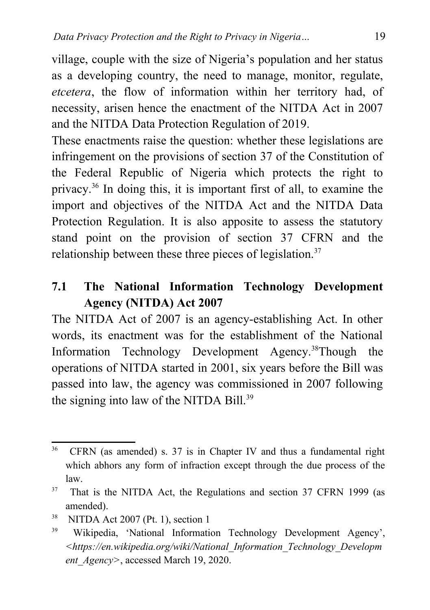village, couple with the size of Nigeria's population and her status as a developing country, the need to manage, monitor, regulate, *etcetera*, the flow of information within her territory had, of necessity, arisen hence the enactment of the NITDA Act in 2007 and the NITDA Data Protection Regulation of 2019.

These enactments raise the question: whether these legislations are infringement on the provisions of section 37 of the Constitution of the Federal Republic of Nigeria which protects the right to privacy.[36](#page-18-0) In doing this, it is important first of all, to examine the import and objectives of the NITDA Act and the NITDA Data Protection Regulation. It is also apposite to assess the statutory stand point on the provision of section 37 CFRN and the relationship between these three pieces of legislation.<sup>[37](#page-18-1)</sup>

#### **7.1 The National Information Technology Development Agency (NITDA) Act 2007**

The NITDA Act of 2007 is an agency-establishing Act. In other words, its enactment was for the establishment of the National Information Technology Development Agency.[38](#page-18-2)Though the operations of NITDA started in 2001, six years before the Bill was passed into law, the agency was commissioned in 2007 following the signing into law of the NITDA Bill.<sup>[39](#page-18-3)</sup>

<span id="page-18-0"></span><sup>36</sup> CFRN (as amended) s. 37 is in Chapter IV and thus a fundamental right which abhors any form of infraction except through the due process of the law.

<span id="page-18-1"></span><sup>&</sup>lt;sup>37</sup> That is the NITDA Act, the Regulations and section 37 CFRN 1999 (as amended).

<span id="page-18-2"></span> $38$  NITDA Act 2007 (Pt. 1), section 1

<span id="page-18-3"></span><sup>39</sup> Wikipedia, 'National Information Technology Development Agency', *<https://en.wikipedia.org/wiki/National\_Information\_Technology\_Developm ent\_Agency>*, accessed March 19, 2020.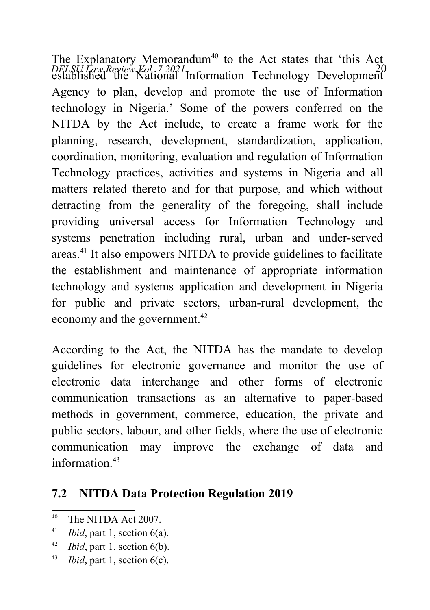*DELSU Law Review Vol. 7 2021* 20 established the National Information Technology Development The Explanatory Memorandum<sup>[40](#page-19-0)</sup> to the Act states that 'this Act Agency to plan, develop and promote the use of Information technology in Nigeria.' Some of the powers conferred on the NITDA by the Act include, to create a frame work for the planning, research, development, standardization, application, coordination, monitoring, evaluation and regulation of Information Technology practices, activities and systems in Nigeria and all matters related thereto and for that purpose, and which without detracting from the generality of the foregoing, shall include providing universal access for Information Technology and systems penetration including rural, urban and under-served areas.[41](#page-19-1) It also empowers NITDA to provide guidelines to facilitate the establishment and maintenance of appropriate information technology and systems application and development in Nigeria for public and private sectors, urban-rural development, the economy and the government.<sup>[42](#page-19-2)</sup>

According to the Act, the NITDA has the mandate to develop guidelines for electronic governance and monitor the use of electronic data interchange and other forms of electronic communication transactions as an alternative to paper-based methods in government, commerce, education, the private and public sectors, labour, and other fields, where the use of electronic communication may improve the exchange of data and information $43$ 

#### **7.2 NITDA Data Protection Regulation 2019**

<span id="page-19-0"></span><sup>40</sup> The NITDA Act 2007.

<span id="page-19-1"></span><sup>41</sup> *Ibid*, part 1, section 6(a).

<span id="page-19-2"></span><sup>42</sup> *Ibid*, part 1, section 6(b).

<span id="page-19-3"></span><sup>43</sup> *Ibid*, part 1, section 6(c).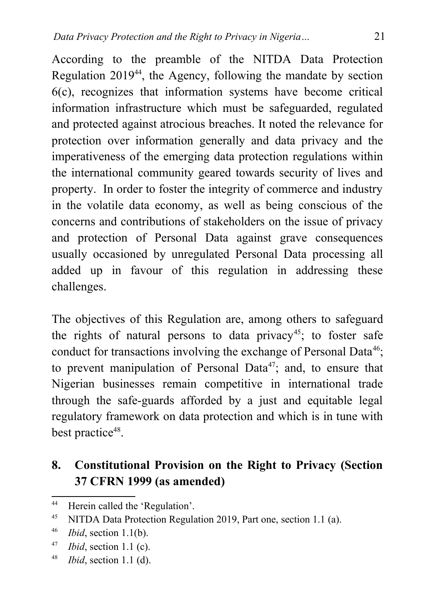According to the preamble of the NITDA Data Protection Regulation  $2019^{44}$  $2019^{44}$  $2019^{44}$ , the Agency, following the mandate by section 6(c), recognizes that information systems have become critical information infrastructure which must be safeguarded, regulated and protected against atrocious breaches. It noted the relevance for protection over information generally and data privacy and the imperativeness of the emerging data protection regulations within the international community geared towards security of lives and property. In order to foster the integrity of commerce and industry in the volatile data economy, as well as being conscious of the concerns and contributions of stakeholders on the issue of privacy and protection of Personal Data against grave consequences usually occasioned by unregulated Personal Data processing all added up in favour of this regulation in addressing these challenges.

The objectives of this Regulation are, among others to safeguard the rights of natural persons to data privacy<sup>[45](#page-20-1)</sup>; to foster safe conduct for transactions involving the exchange of Personal Data<sup>[46](#page-20-2)</sup>; to prevent manipulation of Personal Data<sup>[47](#page-20-3)</sup>; and, to ensure that Nigerian businesses remain competitive in international trade through the safe-guards afforded by a just and equitable legal regulatory framework on data protection and which is in tune with best practice<sup>[48](#page-20-4)</sup>.

# **8. Constitutional Provision on the Right to Privacy (Section 37 CFRN 1999 (as amended)**

<span id="page-20-0"></span><sup>44</sup> Herein called the 'Regulation'.

<span id="page-20-1"></span><sup>45</sup> NITDA Data Protection Regulation 2019, Part one, section 1.1 (a).

<span id="page-20-2"></span><sup>46</sup> *Ibid*, section 1.1(b).

<span id="page-20-3"></span><sup>47</sup> *Ibid*, section 1.1 (c).

<span id="page-20-4"></span><sup>48</sup> *Ibid*, section 1.1 (d).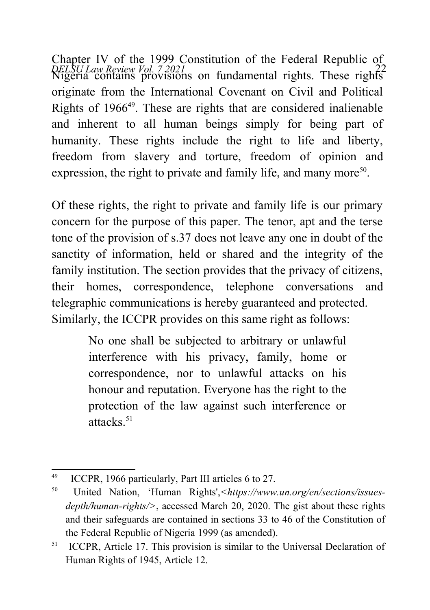*DELSU Law Review Vol. 7 2021* 22 Nigeria contains provisions on fundamental rights. These rights Chapter IV of the 1999 Constitution of the Federal Republic of originate from the International Covenant on Civil and Political Rights of 1966[49](#page-21-0). These are rights that are considered inalienable and inherent to all human beings simply for being part of humanity. These rights include the right to life and liberty, freedom from slavery and torture, freedom of opinion and expression, the right to private and family life, and many more<sup>[50](#page-21-1)</sup>.

Of these rights, the right to private and family life is our primary concern for the purpose of this paper. The tenor, apt and the terse tone of the provision of s.37 does not leave any one in doubt of the sanctity of information, held or shared and the integrity of the family institution. The section provides that the privacy of citizens, their homes, correspondence, telephone conversations and telegraphic communications is hereby guaranteed and protected. Similarly, the ICCPR provides on this same right as follows:

> No one shall be subjected to arbitrary or unlawful interference with his privacy, family, home or correspondence, nor to unlawful attacks on his honour and reputation. Everyone has the right to the protection of the law against such interference or attacks $51$

<span id="page-21-0"></span><sup>&</sup>lt;sup>49</sup> ICCPR, 1966 particularly, Part III articles 6 to 27.

<span id="page-21-1"></span><sup>50</sup> United Nation, 'Human Rights',*<https://www.un.org/en/sections/issuesdepth/human-rights/>*, accessed March 20, 2020. The gist about these rights and their safeguards are contained in sections 33 to 46 of the Constitution of the Federal Republic of Nigeria 1999 (as amended).

<span id="page-21-2"></span><sup>&</sup>lt;sup>51</sup> ICCPR, Article 17. This provision is similar to the Universal Declaration of Human Rights of 1945, Article 12.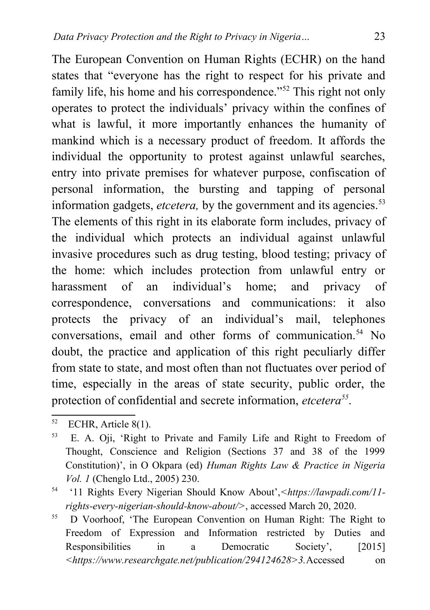The European Convention on Human Rights (ECHR) on the hand states that "everyone has the right to respect for his private and family life, his home and his correspondence."<sup>[52](#page-22-0)</sup> This right not only operates to protect the individuals' privacy within the confines of what is lawful, it more importantly enhances the humanity of mankind which is a necessary product of freedom. It affords the individual the opportunity to protest against unlawful searches, entry into private premises for whatever purpose, confiscation of personal information, the bursting and tapping of personal information gadgets, *etcetera*, by the government and its agencies.<sup>[53](#page-22-1)</sup> The elements of this right in its elaborate form includes, privacy of the individual which protects an individual against unlawful invasive procedures such as drug testing, blood testing; privacy of the home: which includes protection from unlawful entry or harassment of an individual's home; and privacy of correspondence, conversations and communications: it also protects the privacy of an individual's mail, telephones conversations, email and other forms of communication.<sup>[54](#page-22-2)</sup> No doubt, the practice and application of this right peculiarly differ from state to state, and most often than not fluctuates over period of time, especially in the areas of state security, public order, the protection of confidential and secrete information, *etcetera[55](#page-22-3)* .

<span id="page-22-0"></span> $52$  ECHR, Article 8(1).

<span id="page-22-1"></span><sup>53</sup> E. A. Oji, 'Right to Private and Family Life and Right to Freedom of Thought, Conscience and Religion (Sections 37 and 38 of the 1999 Constitution)', in O Okpara (ed) *Human Rights Law & Practice in Nigeria Vol. 1* (Chenglo Ltd., 2005) 230.

<span id="page-22-2"></span><sup>54</sup> '11 Rights Every Nigerian Should Know About',*<https://lawpadi.com/11 rights-every-nigerian-should-know-about/>*, accessed March 20, 2020.

<span id="page-22-3"></span><sup>&</sup>lt;sup>55</sup> D Voorhoof, 'The European Convention on Human Right: The Right to Freedom of Expression and Information restricted by Duties and Responsibilities in a Democratic Society', [2015] *<https://www.researchgate.net/publication/294124628>3.*Accessed on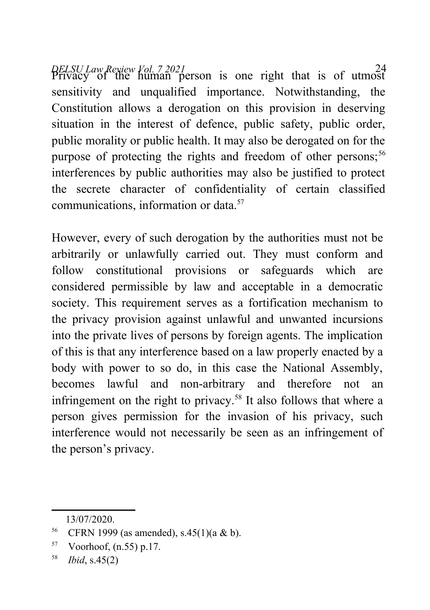*DELSU Law Review Vol. 7 2021* <sup>24</sup> Privacy of the human person is one right that is of utmost sensitivity and unqualified importance. Notwithstanding, the Constitution allows a derogation on this provision in deserving situation in the interest of defence, public safety, public order, public morality or public health. It may also be derogated on for the purpose of protecting the rights and freedom of other persons;<sup>[56](#page-23-0)</sup> interferences by public authorities may also be justified to protect the secrete character of confidentiality of certain classified communications, information or data.<sup>[57](#page-23-1)</sup>

However, every of such derogation by the authorities must not be arbitrarily or unlawfully carried out. They must conform and follow constitutional provisions or safeguards which are considered permissible by law and acceptable in a democratic society. This requirement serves as a fortification mechanism to the privacy provision against unlawful and unwanted incursions into the private lives of persons by foreign agents. The implication of this is that any interference based on a law properly enacted by a body with power to so do, in this case the National Assembly, becomes lawful and non-arbitrary and therefore not an infringement on the right to privacy.<sup>[58](#page-23-2)</sup> It also follows that where a person gives permission for the invasion of his privacy, such interference would not necessarily be seen as an infringement of the person's privacy.

<span id="page-23-0"></span><sup>13/07/2020.</sup>

<sup>&</sup>lt;sup>56</sup> CFRN 1999 (as amended), s.45(1)(a & b).

<span id="page-23-1"></span> $57$  Voorhoof,  $(n.55)$  p.17.

<span id="page-23-2"></span><sup>58</sup> *Ibid*, s.45(2)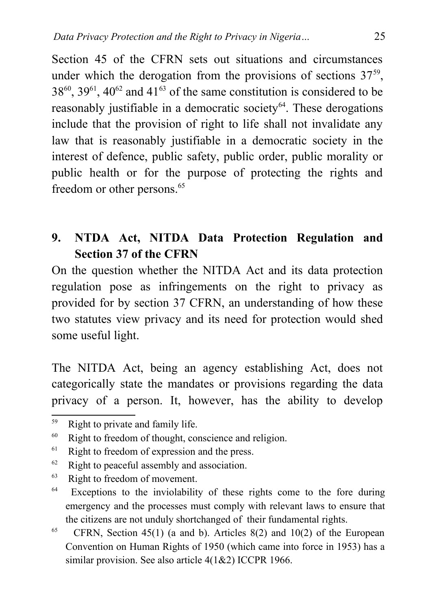Section 45 of the CFRN sets out situations and circumstances under which the derogation from the provisions of sections  $37<sup>59</sup>$  $37<sup>59</sup>$  $37<sup>59</sup>$ ,  $38^{60}$  $38^{60}$  $38^{60}$ ,  $39^{61}$  $39^{61}$  $39^{61}$ ,  $40^{62}$  $40^{62}$  $40^{62}$  and  $41^{63}$  $41^{63}$  $41^{63}$  of the same constitution is considered to be reasonably justifiable in a democratic society $64$ . These derogations include that the provision of right to life shall not invalidate any law that is reasonably justifiable in a democratic society in the interest of defence, public safety, public order, public morality or public health or for the purpose of protecting the rights and freedom or other persons.<sup>[65](#page-24-6)</sup>

# **9. NTDA Act, NITDA Data Protection Regulation and Section 37 of the CFRN**

On the question whether the NITDA Act and its data protection regulation pose as infringements on the right to privacy as provided for by section 37 CFRN, an understanding of how these two statutes view privacy and its need for protection would shed some useful light.

The NITDA Act, being an agency establishing Act, does not categorically state the mandates or provisions regarding the data privacy of a person. It, however, has the ability to develop

<span id="page-24-0"></span><sup>59</sup> Right to private and family life.

<span id="page-24-1"></span> $60$  Right to freedom of thought, conscience and religion.

<span id="page-24-2"></span><sup>&</sup>lt;sup>61</sup> Right to freedom of expression and the press.

<span id="page-24-3"></span> $62$  Right to peaceful assembly and association.

<span id="page-24-4"></span><sup>&</sup>lt;sup>63</sup> Right to freedom of movement.

<span id="page-24-5"></span><sup>&</sup>lt;sup>64</sup> Exceptions to the inviolability of these rights come to the fore during emergency and the processes must comply with relevant laws to ensure that the citizens are not unduly shortchanged of their fundamental rights.

<span id="page-24-6"></span><sup>&</sup>lt;sup>65</sup> CFRN, Section 45(1) (a and b). Articles 8(2) and 10(2) of the European Convention on Human Rights of 1950 (which came into force in 1953) has a similar provision. See also article 4(1&2) ICCPR 1966.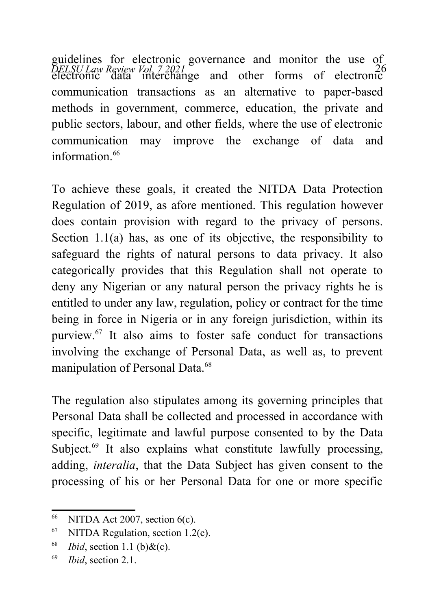*DELSU Law Review Vol. 7 2021* 26 electronic data interchange and other forms of electronic guidelines for electronic governance and monitor the use of communication transactions as an alternative to paper-based methods in government, commerce, education, the private and public sectors, labour, and other fields, where the use of electronic communication may improve the exchange of data and information $66$ 

To achieve these goals, it created the NITDA Data Protection Regulation of 2019, as afore mentioned. This regulation however does contain provision with regard to the privacy of persons. Section 1.1(a) has, as one of its objective, the responsibility to safeguard the rights of natural persons to data privacy. It also categorically provides that this Regulation shall not operate to deny any Nigerian or any natural person the privacy rights he is entitled to under any law, regulation, policy or contract for the time being in force in Nigeria or in any foreign jurisdiction, within its purview.[67](#page-25-1) It also aims to foster safe conduct for transactions involving the exchange of Personal Data, as well as, to prevent manipulation of Personal Data.<sup>[68](#page-25-2)</sup>

The regulation also stipulates among its governing principles that Personal Data shall be collected and processed in accordance with specific, legitimate and lawful purpose consented to by the Data Subject.<sup>[69](#page-25-3)</sup> It also explains what constitute lawfully processing, adding, *interalia*, that the Data Subject has given consent to the processing of his or her Personal Data for one or more specific

<span id="page-25-0"></span> $66$  NITDA Act 2007, section  $6(c)$ .

<span id="page-25-1"></span> $67$  NITDA Regulation, section 1.2(c).

<span id="page-25-2"></span> $68$  *Ibid*, section 1.1 (b) & (c).

<span id="page-25-3"></span><sup>69</sup> *Ibid*, section 2.1.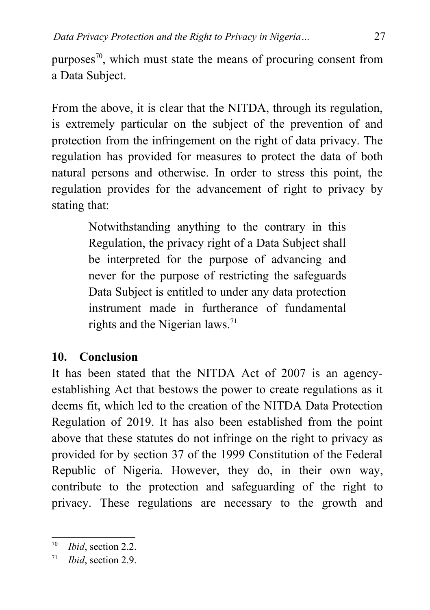purposes<sup>[70](#page-26-0)</sup>, which must state the means of procuring consent from a Data Subject.

From the above, it is clear that the NITDA, through its regulation, is extremely particular on the subject of the prevention of and protection from the infringement on the right of data privacy. The regulation has provided for measures to protect the data of both natural persons and otherwise. In order to stress this point, the regulation provides for the advancement of right to privacy by stating that:

> Notwithstanding anything to the contrary in this Regulation, the privacy right of a Data Subject shall be interpreted for the purpose of advancing and never for the purpose of restricting the safeguards Data Subject is entitled to under any data protection instrument made in furtherance of fundamental rights and the Nigerian laws.<sup>[71](#page-26-1)</sup>

#### **10. Conclusion**

It has been stated that the NITDA Act of 2007 is an agencyestablishing Act that bestows the power to create regulations as it deems fit, which led to the creation of the NITDA Data Protection Regulation of 2019. It has also been established from the point above that these statutes do not infringe on the right to privacy as provided for by section 37 of the 1999 Constitution of the Federal Republic of Nigeria. However, they do, in their own way, contribute to the protection and safeguarding of the right to privacy. These regulations are necessary to the growth and

<span id="page-26-0"></span><sup>70</sup> *Ibid*, section 2.2.

<span id="page-26-1"></span><sup>71</sup> *Ibid*, section 2.9.